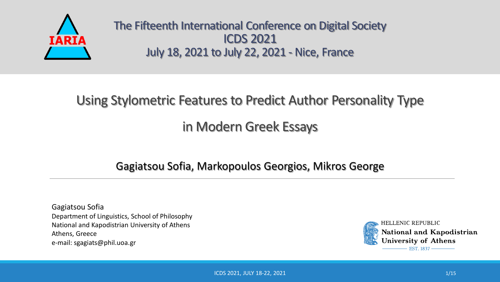

The Fifteenth International Conference on Digital Society ICDS 2021 July 18, 2021 to July 22, 2021 - Nice, France

# Using Stylometric Features to Predict Author Personality Type

### in Modern Greek Essays

### Gagiatsou Sofia, Markopoulos Georgios, Mikros George

Gagiatsou Sofia Department of Linguistics, School of Philosophy National and Kapodistrian University of Athens Athens, Greece e-mail: sgagiats@phil.uoa.gr



HELLENIC REPUBLIC National and Kapodistrian **University of Athens** EST. 1837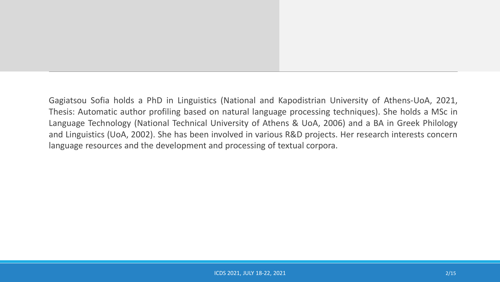Gagiatsou Sofia holds a PhD in Linguistics (National and Kapodistrian University of Athens-UoA, 2021, Thesis: Automatic author profiling based on natural language processing techniques). She holds a MSc in Language Technology (National Technical University of Athens & UoA, 2006) and a BA in Greek Philology and Linguistics (UoA, 2002). She has been involved in various R&D projects. Her research interests concern language resources and the development and processing of textual corpora.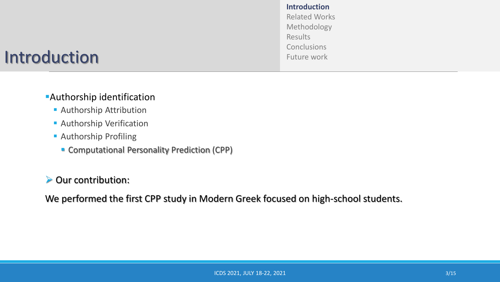### Introduction

**Introduction** Related Works Methodology Results **Conclusions** Future work

### **Authorship identification**

- **Authorship Attribution**
- **Authorship Verification**
- **E** Authorship Profiling
	- Computational Personality Prediction (CPP)

#### ➢ Our contribution:

We performed the first CPP study in Modern Greek focused on high-school students.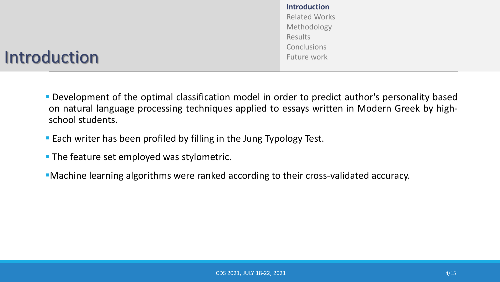**Introduction** Related Works Methodology Results Conclusions Future work

### Introduction

- Development of the optimal classification model in order to predict author's personality based on natural language processing techniques applied to essays written in Modern Greek by highschool students.
- Each writer has been profiled by filling in the Jung Typology Test.
- **The feature set employed was stylometric.**
- **I** Machine learning algorithms were ranked according to their cross-validated accuracy.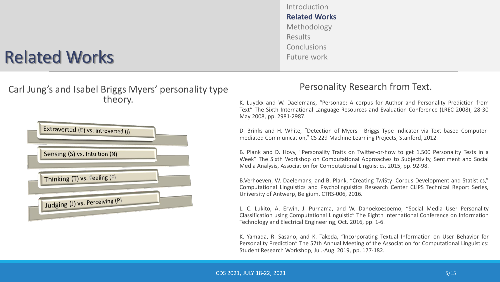

Introduction

**Related Works**

Methodology

Conclusions Future work

Results

K. Luyckx and W. Daelemans, "Personae: A corpus for Author and Personality Prediction from Text" The Sixth International Language Resources and Evaluation Conference (LREC 2008), 28-30 May 2008, pp. 2981-2987.

D. Brinks and H. White, "Detection of Myers - Briggs Type Indicator via Text based Computermediated Communication," CS 229 Machine Learning Projects, Stanford, 2012.

B. Plank and D. Hovy, "Personality Traits on Twitter-or-how to get 1,500 Personality Tests in a Week" The Sixth Workshop on Computational Approaches to Subjectivity, Sentiment and Social Media Analysis, Association for Computational Linguistics, 2015, pp. 92-98.

B.Verhoeven, W. Daelemans, and B. Plank, "Creating TwiSty: Corpus Development and Statistics," Computational Linguistics and Psycholinguistics Research Center CLiPS Technical Report Series, University of Antwerp, Belgium, CTRS-006, 2016.

L. C. Lukito, A. Erwin, J. Purnama, and W. Danoekoesoemo, "Social Media User Personality Classification using Computational Linguistic" The Eighth International Conference on Information Technology and Electrical Engineering, Oct. 2016, pp. 1-6.

K. Yamada, R. Sasano, and K. Takeda, "Incorporating Textual Information on User Behavior for Personality Prediction" The 57th Annual Meeting of the Association for Computational Linguistics: Student Research Workshop, Jul.-Aug. 2019, pp. 177-182.

## Related Works

#### Carl Jung's and Isabel Briggs Myers' personality type theory.

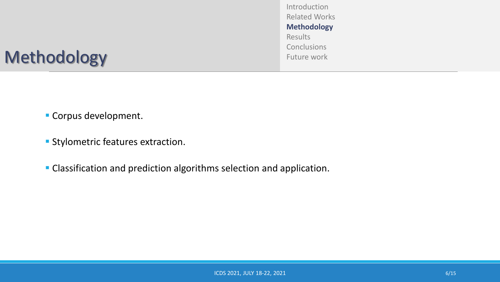Introduction Related Works **Methodology Results Conclusions** Future work

- Corpus development.
- **EXECUTE: Stylometric features extraction.**
- Classification and prediction algorithms selection and application.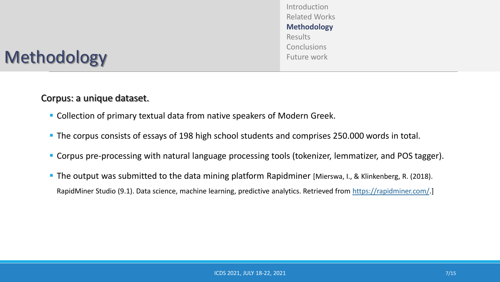Introduction Related Works **Methodology** Results **Conclusions** Future work

### Corpus: a unique dataset.

- Collection of primary textual data from native speakers of Modern Greek.
- **The corpus consists of essays of 198 high school students and comprises 250.000 words in total.**
- Corpus pre-processing with natural language processing tools (tokenizer, lemmatizer, and POS tagger).
- The output was submitted to the data mining platform Rapidminer [Mierswa, I., & Klinkenberg, R. (2018). RapidMiner Studio (9.1). Data science, machine learning, predictive analytics. Retrieved from [https://rapidminer.com/.](https://rapidminer.com/)]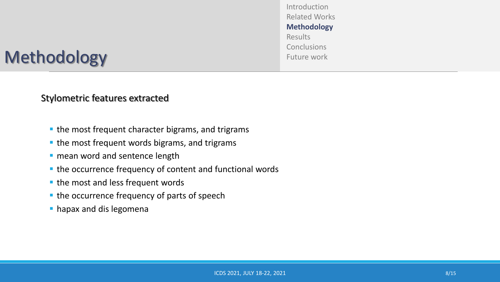Introduction Related Works **Methodology** Results **Conclusions** Future work

#### Stylometric features extracted

- the most frequent character bigrams, and trigrams
- the most frequent words bigrams, and trigrams
- **· mean word and sentence length**
- the occurrence frequency of content and functional words
- the most and less frequent words
- the occurrence frequency of parts of speech
- **hapax and dis legomena**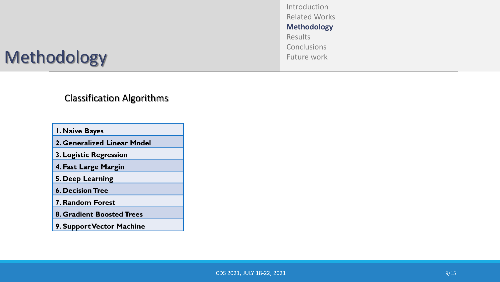Introduction Related Works **Methodology** Results Conclusions Future work

#### Classification Algorithms

I. Naive Bayes

- 2. Generalized Linear Model
- 3. Logistic Regression
- 4. Fast Large Margin

5. Deep Learning

**6. Decision Tree** 

7. Random Forest

- 8. Gradient Boosted Trees
- 9. Support Vector Machine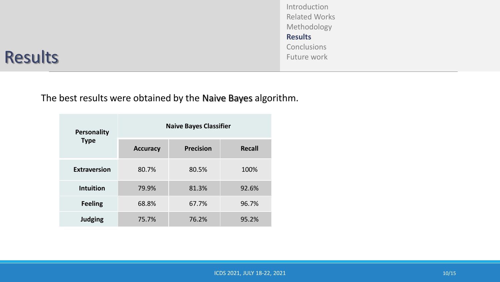Introduction Related Works Methodology **Results Conclusions** Future work

### Results

The best results were obtained by the Naive Bayes algorithm.

| <b>Personality</b>  | <b>Naive Bayes Classifier</b> |                  |               |
|---------------------|-------------------------------|------------------|---------------|
| <b>Type</b>         | <b>Accuracy</b>               | <b>Precision</b> | <b>Recall</b> |
| <b>Extraversion</b> | 80.7%                         | 80.5%            | 100%          |
| <b>Intuition</b>    | 79.9%                         | 81.3%            | 92.6%         |
| <b>Feeling</b>      | 68.8%                         | 67.7%            | 96.7%         |
| <b>Judging</b>      | 75.7%                         | 76.2%            | 95.2%         |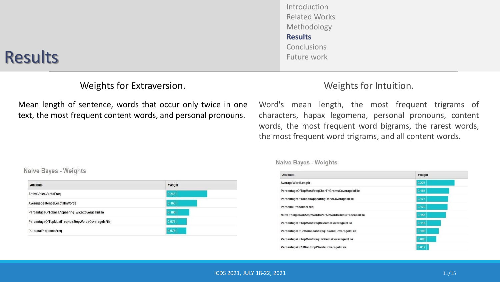### Results

### Weights for Extraversion.

Mean length of sentence, words that occur only twice in one text, the most frequent content words, and personal pronouns.

#### Naive Bayes - Weights

| Attribute                                         | Weight |
|---------------------------------------------------|--------|
| ActiveVoiceVerbsFreq                              | 0.243  |
| Average SentenceLengthInWords                     | 0.163  |
| PercentageOfTokensAppearingTwiceCoverageInFile    | 0.100  |
| PercentageOfTopMostFreqNonStopWordsCoverageInFile | 0.079  |
| PersonalPronounsFreq                              | 0.078  |

Introduction Related Works Methodology **Results** Conclusions Future work

#### Weights for Intuition.

Word's mean length, the most frequent trigrams of characters, hapax legomena, personal pronouns, content words, the most frequent word bigrams, the rarest words, the most frequent word trigrams, and all content words.

#### Naive Bayes - Weights

| <b>Attribute</b>                                    | Weight |
|-----------------------------------------------------|--------|
| AverageWordLength                                   | 0.227  |
| PercentageOfTopMostFreqCharTriGramsCoverageInFile   | 0.181  |
| PercentageOfTokensAppearingOnceCoverageInFile       | 0.173  |
| PersonalPronounsFreq                                | 0.170  |
| NumOfSingleNonStopWordsPerAllWordsOccurrencesInFile | 0.156  |
| PercentageOfTopMostFreqBiGramsCoverageInFile        | 0.116  |
| PercentageOfBottomLeastFreqTokensCoverageInFile     | 0.100  |
| PercentageOfTopMostFreqTriGramsCoverageInFile       | 0.080  |
| PercentageOfAllNonStopWordsCoverageInFile           | 0.01   |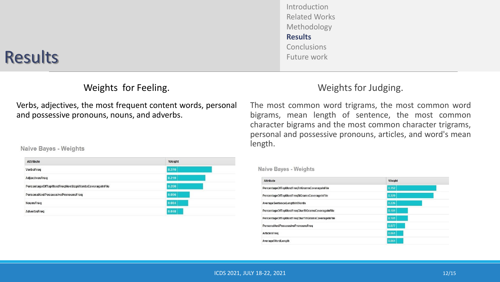#### ICDS 2021, JULY 18-22, 2021 2021 2021 2021 2021 2022 2023 2024 2024 2025 2027 2027 2028 2021 2021 2021 2022 20

#### Introduction Related Works Methodology **Results** Conclusions Future work

### Results

### Weights for Feeling.

Verbs, adjectives, the most frequent content words, personal and possessive pronouns, nouns, and adverbs.

#### Naive Bayes - Weights

| Attribute                                         | Weight |
|---------------------------------------------------|--------|
| VerbsFreq                                         | 0.270  |
| AdjectivesFreq                                    | 0.219  |
| PercentageOfTopMostFreqNonStopWordsCoverageInFile | 0.200  |
| PersonalAndPossessivePronounsFreq                 | 0.096  |
| NounsFreq                                         | 0.084  |
| AdverbsFreq                                       | 0.048  |

### Weights for Judging.

The most common word trigrams, the most common word bigrams, mean length of sentence, the most common character bigrams and the most common character trigrams, personal and possessive pronouns, articles, and word's mean length.

#### **Naive Bayes - Weights**

| <b>Attribute</b>                                  | Weight |  |
|---------------------------------------------------|--------|--|
| PercentageOfTopMostFregTriGramsCoverageInFile     | 0.352  |  |
| PercentageOfTopMostFreqBiGramsCoverageInFile      | 0.329  |  |
| Average SentenceLengthInWords                     | 0.226  |  |
| PercentageOfTopMostFregCharBiGramsCoverageInFile  | 0.101  |  |
| PercentageOfTopMostFregCharTriGramsCoverageInFile | 0.101  |  |
| PersonalAndPossessivePronounsFreq                 | 0.077  |  |
| ArticlesFreq                                      | 0.061  |  |
| AverageWordLength                                 | 0.061  |  |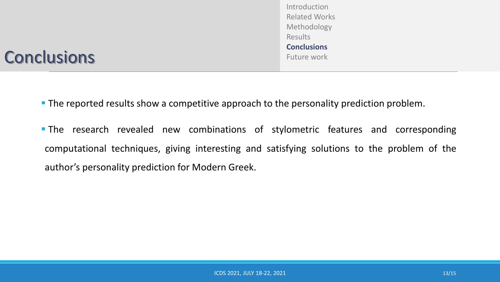**The research revealed new combinations of stylometric features and corresponding** computational techniques, giving interesting and satisfying solutions to the problem of the author's personality prediction for Modern Greek.

**The reported results show a competitive approach to the personality prediction problem.** 

## **Conclusions**

Introduction Related Works Methodology Results **Conclusions** Future work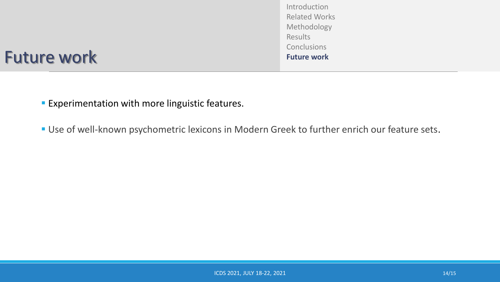Introduction Related Works Methodology Results **Conclusions Future work**

### Future work

**Experimentation with more linguistic features.** 

**Use of well-known psychometric lexicons in Modern Greek to further enrich our feature sets.**